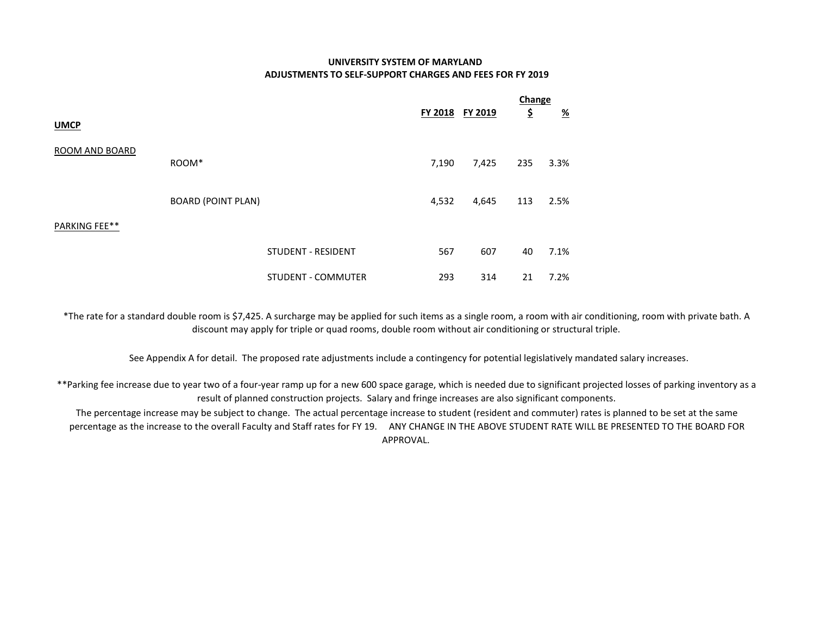## UNIVERSITY SYSTEM OF MARYLAND ADJUSTMENTS TO SELF-SUPPORT CHARGES AND FEES FOR FY 2019

|                |                           |                           |                |                | Change |          |  |
|----------------|---------------------------|---------------------------|----------------|----------------|--------|----------|--|
|                |                           |                           | <b>FY 2018</b> | <u>FY 2019</u> | \$     | <u>%</u> |  |
| <b>UMCP</b>    |                           |                           |                |                |        |          |  |
| ROOM AND BOARD |                           |                           |                |                |        |          |  |
|                | ROOM*                     |                           | 7,190          | 7,425          | 235    | 3.3%     |  |
|                |                           |                           |                |                |        |          |  |
|                | <b>BOARD (POINT PLAN)</b> |                           | 4,532          | 4,645          | 113    | 2.5%     |  |
| PARKING FEE**  |                           |                           |                |                |        |          |  |
|                |                           | <b>STUDENT - RESIDENT</b> | 567            | 607            | 40     | 7.1%     |  |
|                |                           | <b>STUDENT - COMMUTER</b> | 293            | 314            | 21     | 7.2%     |  |

\*The rate for a standard double room is \$7,425. A surcharge may be applied for such items as a single room, a room with air conditioning, room with private bath. A discount may apply for triple or quad rooms, double room without air conditioning or structural triple.

See Appendix A for detail. The proposed rate adjustments include a contingency for potential legislatively mandated salary increases.

\*\*Parking fee increase due to year two of a four-year ramp up for a new 600 space garage, which is needed due to significant projected losses of parking inventory as a result of planned construction projects. Salary and fringe increases are also significant components.

The percentage increase may be subject to change. The actual percentage increase to student (resident and commuter) rates is planned to be set at the same percentage as the increase to the overall Faculty and Staff rates for FY 19. ANY CHANGE IN THE ABOVE STUDENT RATE WILL BE PRESENTED TO THE BOARD FOR APPROVAL.